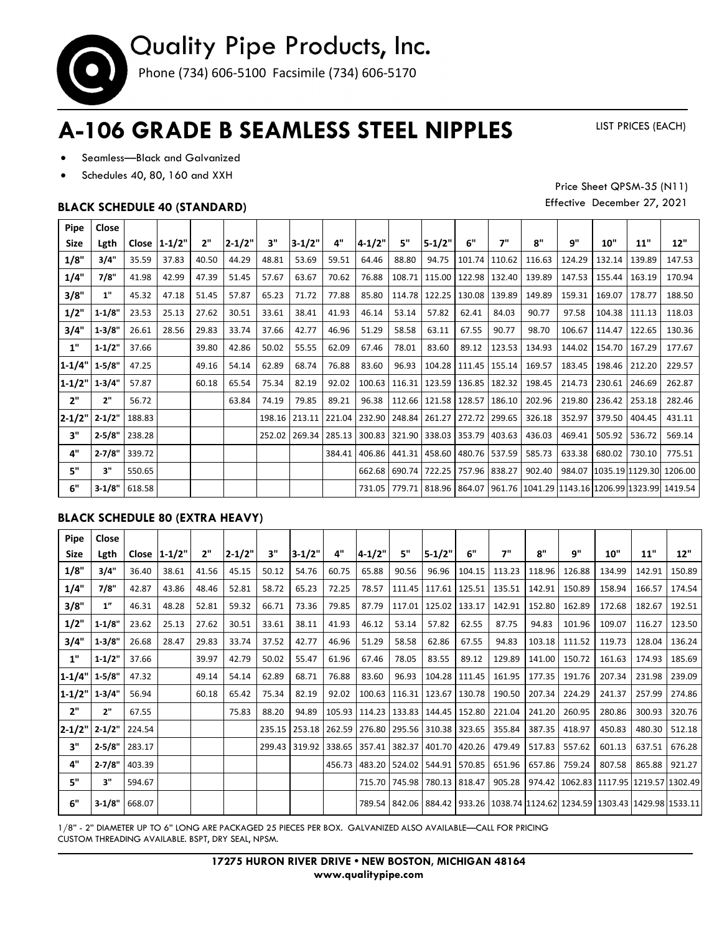

## **A-106 GRADE B SEAMLESS STEEL NIPPLES**

LIST PRICES (EACH)

- Seamless—Black and Galvanized
- Schedules 40, 80, 160 and XXH

### **BLACK SCHEDULE 40 (STANDARD)**

Price Sheet QPSM-35 (N11) Effective December 27, 2021

| Pipe            | Close      |        |                 |       |            |        |            |        |                                                              |        |                                            |                          |                          |                                                                            |        |        |                                |        |
|-----------------|------------|--------|-----------------|-------|------------|--------|------------|--------|--------------------------------------------------------------|--------|--------------------------------------------|--------------------------|--------------------------|----------------------------------------------------------------------------|--------|--------|--------------------------------|--------|
| <b>Size</b>     | Lgth       |        | Close $ 1-1/2"$ | 2"    | $2 - 1/2"$ | 3"     | $3 - 1/2"$ | 4"     | $ 4 - 1/2" $                                                 | 5"     | $5 - 1/2"$                                 | 6"                       | 7"                       | 8"                                                                         | q"     | 10"    | 11"                            | 12"    |
| 1/8"            | 3/4"       | 35.59  | 37.83           | 40.50 | 44.29      | 48.81  | 53.69      | 59.51  | 64.46                                                        | 88.80  | 94.75                                      | 101.74 110.62            |                          | 116.63                                                                     | 124.29 | 132.14 | 139.89                         | 147.53 |
| 1/4"            | 7/8"       | 41.98  | 42.99           | 47.39 | 51.45      | 57.67  | 63.67      | 70.62  | 76.88                                                        | 108.71 |                                            | 115.00   122.98   132.40 |                          | 139.89                                                                     | 147.53 | 155.44 | 163.19                         | 170.94 |
| 3/8"            | 1"         | 45.32  | 47.18           | 51.45 | 57.87      | 65.23  | 71.72      | 77.88  | 85.80                                                        | 114.78 | 122.25                                     | 130.08                   | 139.89                   | 149.89                                                                     | 159.31 | 169.07 | 178.77                         | 188.50 |
| 1/2"            | $1 - 1/8"$ | 23.53  | 25.13           | 27.62 | 30.51      | 33.61  | 38.41      | 41.93  | 46.14                                                        | 53.14  | 57.82                                      | 62.41                    | 84.03                    | 90.77                                                                      | 97.58  | 104.38 | 111.13                         | 118.03 |
| 3/4"            | $1 - 3/8"$ | 26.61  | 28.56           | 29.83 | 33.74      | 37.66  | 42.77      | 46.96  | 51.29                                                        | 58.58  | 63.11                                      | 67.55                    | 90.77                    | 98.70                                                                      | 106.67 | 114.47 | 122.65                         | 130.36 |
| 1"              | $1 - 1/2"$ | 37.66  |                 | 39.80 | 42.86      | 50.02  | 55.55      | 62.09  | 67.46                                                        | 78.01  | 83.60                                      | 89.12                    | 123.53                   | 134.93                                                                     | 144.02 | 154.70 | 167.29                         | 177.67 |
| $1-1/4"$ 1-5/8" |            | 47.25  |                 | 49.16 | 54.14      | 62.89  | 68.74      | 76.88  | 83.60                                                        | 96.93  |                                            |                          | 104.28   111.45   155.14 | 169.57                                                                     | 183.45 | 198.46 | 212.20                         | 229.57 |
| $1 - 1/2"$      | 1.3/4"     | 57.87  |                 | 60.18 | 65.54      | 75.34  | 82.19      | 92.02  | 100.63                                                       | 116.31 |                                            |                          | 123.59   136.85   182.32 | 198.45                                                                     | 214.73 | 230.61 | 246.69                         | 262.87 |
| 2"              | 2"         | 56.72  |                 |       | 63.84      | 74.19  | 79.85      | 89.21  | 96.38                                                        |        | 112.66 121.58 128.57                       |                          | 186.10                   | 202.96                                                                     | 219.80 | 236.42 | 253.18                         | 282.46 |
| $2 - 1/2"$      | $2 - 1/2"$ | 188.83 |                 |       |            | 198.16 |            |        | 213.11   221.04   232.90   248.84   261.27   272.72   299.65 |        |                                            |                          |                          | 326.18                                                                     | 352.97 | 379.50 | 404.45                         | 431.11 |
| 3"              | 2.5/8"     | 238.28 |                 |       |            | 252.02 | 269.34     |        | 285.13 300.83 321.90 338.03 353.79 403.63                    |        |                                            |                          |                          | 436.03                                                                     | 469.41 | 505.92 | 536.72                         | 569.14 |
| 4"              | $2 - 7/8"$ | 339.72 |                 |       |            |        |            | 384.41 |                                                              |        | 406.86   441.31   458.60   480.76   537.59 |                          |                          | 585.73                                                                     | 633.38 | 680.02 | 730.10                         | 775.51 |
| 5"              | 3"         | 550.65 |                 |       |            |        |            |        |                                                              |        | 662.68 690.74 722.25 757.96 838.27         |                          |                          | 902.40                                                                     |        |        | 984.07 1035.19 1129.30 1206.00 |        |
| 6"              | $3 - 1/8"$ | 618.58 |                 |       |            |        |            |        |                                                              |        |                                            |                          |                          | 731.05 779.71 818.96 864.07 961.76 1041.29 1143.16 1206.99 1323.99 1419.54 |        |        |                                |        |

#### **BLACK SCHEDULE 80 (EXTRA HEAVY)**

| Pipe            | Close      |        |                    |       |            |        |            |               |                      |                          |                      |        |        |        |        |        |                                                                                               |        |
|-----------------|------------|--------|--------------------|-------|------------|--------|------------|---------------|----------------------|--------------------------|----------------------|--------|--------|--------|--------|--------|-----------------------------------------------------------------------------------------------|--------|
| <b>Size</b>     | Lgth       |        | Close $ 1 - 1/2" $ | 2"    | $2 - 1/2"$ | 3"     | $3 - 1/2"$ | 4"            | $4 - 1/2"$           | 5"                       | $5 - 1/2"$           | 6"     | 7"     | 8"     | q"     | 10"    | 11"                                                                                           | 12"    |
| 1/8"            | 3/4"       | 36.40  | 38.61              | 41.56 | 45.15      | 50.12  | 54.76      | 60.75         | 65.88                | 90.56                    | 96.96                | 104.15 | 113.23 | 118.96 | 126.88 | 134.99 | 142.91                                                                                        | 150.89 |
| 1/4"            | 7/8"       | 42.87  | 43.86              | 48.46 | 52.81      | 58.72  | 65.23      | 72.25         | 78.57                |                          | 111.45 117.61        | 125.51 | 135.51 | 142.91 | 150.89 | 158.94 | 166.57                                                                                        | 174.54 |
| 3/8"            | 1"         | 46.31  | 48.28              | 52.81 | 59.32      | 66.71  | 73.36      | 79.85         | 87.79                | 117.01                   | 125.02               | 133.17 | 142.91 | 152.80 | 162.89 | 172.68 | 182.67                                                                                        | 192.51 |
| 1/2"            | $1 - 1/8"$ | 23.62  | 25.13              | 27.62 | 30.51      | 33.61  | 38.11      | 41.93         | 46.12                | 53.14                    | 57.82                | 62.55  | 87.75  | 94.83  | 101.96 | 109.07 | 116.27                                                                                        | 123.50 |
| 3/4"            | $1 - 3/8"$ | 26.68  | 28.47              | 29.83 | 33.74      | 37.52  | 42.77      | 46.96         | 51.29                | 58.58                    | 62.86                | 67.55  | 94.83  | 103.18 | 111.52 | 119.73 | 128.04                                                                                        | 136.24 |
| 1"              | $1 - 1/2"$ | 37.66  |                    | 39.97 | 42.79      | 50.02  | 55.47      | 61.96         | 67.46                | 78.05                    | 83.55                | 89.12  | 129.89 | 141.00 | 150.72 | 161.63 | 174.93                                                                                        | 185.69 |
| $1-1/4"$ 1-5/8" |            | 47.32  |                    | 49.14 | 54.14      | 62.89  | 68.71      | 76.88         | 83.60                | 96.93                    | 104.28               | 111.45 | 161.95 | 177.35 | 191.76 | 207.34 | 231.98                                                                                        | 239.09 |
| $1 - 1/2"$      | $1-3/4"$   | 56.94  |                    | 60.18 | 65.42      | 75.34  | 82.19      | 92.02         | 100.63               |                          | 116.31 123.67        | 130.78 | 190.50 | 207.34 | 224.29 | 241.37 | 257.99                                                                                        | 274.86 |
| 2"              | 2"         | 67.55  |                    |       | 75.83      | 88.20  | 94.89      | 105.93 114.23 |                      |                          | 133.83 144.45        | 152.80 | 221.04 | 241.20 | 260.95 | 280.86 | 300.93                                                                                        | 320.76 |
| $2 - 1/2"$      | $2 - 1/2"$ | 224.54 |                    |       |            | 235.15 |            | 253.18 262.59 | 276.80               |                          | 295.56 310.38 323.65 |        | 355.84 | 387.35 | 418.97 | 450.83 | 480.30                                                                                        | 512.18 |
| 3"              | $2 - 5/8"$ | 283.17 |                    |       |            | 299.43 |            |               | 319.92 338.65 357.41 |                          | 382.37 401.70 420.26 |        | 479.49 | 517.83 | 557.62 | 601.13 | 637.51                                                                                        | 676.28 |
| 4"              | $2 - 7/8"$ | 403.39 |                    |       |            |        |            | 456.73        |                      | 483.20   524.02   544.91 |                      | 570.85 | 651.96 | 657.86 | 759.24 | 807.58 | 865.88                                                                                        | 921.27 |
| 5"              | 3"         | 594.67 |                    |       |            |        |            |               | 715.70               |                          | 745.98 780.13        | 818.47 | 905.28 |        |        |        | 974.42   1062.83   1117.95   1219.57   1302.49                                                |        |
| 6"              | $3 - 1/8"$ | 668.07 |                    |       |            |        |            |               |                      |                          |                      |        |        |        |        |        | 789.54   842.06   884.42   933.26   1038.74   1124.62   1234.59   1303.43   1429.98   1533.11 |        |

1/8" - 2" DIAMETER UP TO 6" LONG ARE PACKAGED 25 PIECES PER BOX. GALVANIZED ALSO AVAILABLE—CALL FOR PRICING CUSTOM THREADING AVAILABLE. BSPT, DRY SEAL, NPSM.